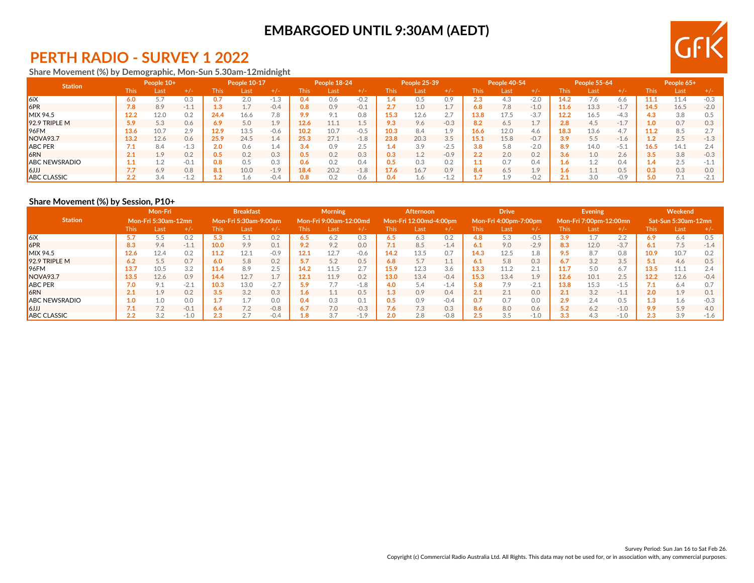# **EMBARGOED UNTIL 9:30AM (AEDT)**



## **PERTH RADIO - SURVEY 1 2022**

#### **Share Movement (%) by Demographic, Mon-Sun 5.30am-12midnight**

| <b>Station</b>       | People 10+  |      | <b>People 10-17</b> |             | People 18-24 |                        |            |                | People 25-39 |       | People 40-54 |                   |             | People 55-64 |             |      | People 65+ |        |               |      |        |
|----------------------|-------------|------|---------------------|-------------|--------------|------------------------|------------|----------------|--------------|-------|--------------|-------------------|-------------|--------------|-------------|------|------------|--------|---------------|------|--------|
|                      | <b>This</b> | Last | $+/-$               | <b>This</b> | Last         | $+/-$                  | This       | Last           | $+/-$        | This. | 'Last        | $+/-$             | <b>This</b> | Last         | $+/-$       | This | Last       | $+/-$  | This          | Last |        |
| 6iX                  | 6.0         | 5.7  | 0.3                 | 0.7         | 2.0          | $-1.2$                 | <b>0.4</b> | 0.6            | $-0.2$       |       | 0.5          | 0.9               | 2.3         | 4.3          | $-2.0$      | 14.2 |            | 0.0    |               | 11.4 |        |
| 6PR                  | 7.8         | 8.9  | $-1.1$              | 1.3         |              | $-0.4$                 | 0.8        | 0.9            | $-0.1$       |       | 1.0          | $\perp$ .         | 6.8         | 7.8          | $-1.0$      | 11.6 | 13.3       | $-1.7$ | 14.5          | 16.5 | $-2.0$ |
| MIX 94.5             | 12.2        | 12.0 | 0.2                 | 24.4        | 16.6         | 7.8                    | 9.9        | O <sub>1</sub> | 0.8          | .5.3  | 12.6         | 2.7               | 13.8        | 17.5         | $-3.7$      | 12.2 | 16.5       | $-4.3$ |               | 3.8  |        |
| 92.9 TRIPLE M        | 5.9         | 5.3  | 0.6                 | 6.9         | 5.0          | $1\Omega$<br>$\perp$ . | 12.6       |                | 1.5          | 9.3   | 9.6          | $-0.3$            | 8.2         | 6.5          | 1.,         | 2.8  | 4.5        | 1.7    |               | 0.7  |        |
| $ 96$ FM             | 13.6        | 10.7 | 20<br>$\angle$ .    | 12.9        | 13.5         | $-0.6$                 | 10.2       | 10.7           | $-0.5$       |       | 8.4          | 1 0<br><b>L.J</b> | 16.6        | 12.0         | 4.6         | 18.3 | 13.6       | 4.7    |               | 8.5  |        |
| NOVA93.7             | 13.2        | 12.6 | 0.6                 | 25.9        | 24.5         | $\pm .4$               | 25.3       | 27.1           | $-1.8$       | 23.8  | 20.3         | 3.5               | 15.1        | 15.8         | $-0.7$      | 3.9  | 5.5        | $-1.6$ |               | 2.5  |        |
| <b>ABC PER</b>       |             | 8.4  |                     | 2.0         | 0.6          | 1.4                    | 3.4        | 0.9            | 2.5          |       | 3.9          | $-2.5$            | 3.8         | 5.8          | $-2.0$      | 8.9  | 14.0       | -5.1   | 16.5          | 14.1 |        |
| <b>6RN</b>           | 2.1         | 1.9  | 0.2                 | 0.5         | 0.2          | 0.3                    | 0.5        | 0.2            | 0.3          | 0.3   | 1.2          | $-0.9$            | 2.2         | 2.0          | 0.2         | 3.6  | 1.0        | 2.6    | 3.5           | 3.8  |        |
| <b>ABC NEWSRADIO</b> |             | 1.2  | $-0.1$              | 0.8         | 0.5          | 0.3                    | 0.6        | 0.2            | 0.4          |       | 0.3          | 0.2               |             | 0.7          | 0.4         |      |            | 0.4    | $\mathcal{A}$ | 2.5  |        |
| lkul                 |             | 6.9  | 0.8                 | 8.1         | 10.0         | $-1.9$                 | 18.4       | 20.2           | $-1.8$       | 7.6   | 16.7         | 0.9               | 8.4         | 6.5          | 1.9         |      |            | 0.5    |               | 0.3  |        |
| <b>ABC CLASSIC</b>   | L.L         | 3.4  |                     |             | .6           | $-0.4$                 | 0.8        | 0.2            | 0.6          |       | 1.6          |                   |             | 19           | $-0$ $\sim$ |      | 3.0        | $-0.9$ |               |      | $-2.1$ |

#### **Share Movement (%) by Session, P10+**

|                      | Mon-Fri |                            |        | <b>Breakfast</b> |                       |        | <b>Morning</b>                     |                        |        | <b>Afternoon</b> |                        |        | <b>Drive</b> |                       |        | <b>Evening</b> |                        |        | Weekend |                            |        |
|----------------------|---------|----------------------------|--------|------------------|-----------------------|--------|------------------------------------|------------------------|--------|------------------|------------------------|--------|--------------|-----------------------|--------|----------------|------------------------|--------|---------|----------------------------|--------|
| <b>Station</b>       |         | <b>Mon-Fri 5:30am-12mn</b> |        |                  | Mon-Fri 5:30am-9:00am |        |                                    | Mon-Fri 9:00am-12:00md |        |                  | Mon-Fri 12:00md-4:00pm |        |              | Mon-Fri 4:00pm-7:00pm |        |                | Mon-Fri 7:00pm-12:00mn |        |         | <b>Sat-Sun 5:30am-12mn</b> |        |
|                      | This:   | Last                       | $+/-$  | <b>This</b>      | Last                  | $+/-$  | <b>This</b>                        | Last                   | $+/-$  | l his            | Last                   | $+/-$  | <b>This</b>  | Last                  | $+/-$  | This           | Last                   | $+/-$  | This    | Last                       | $+/-$  |
| 6iX                  | 5.7     | 5.5                        | 0.2    | 5.3              |                       | 0.2    | $6.5^{\circ}$                      | 6.2                    | 0.3    | 6.5              | 6.3                    | 0.2    | 4.8          | 5.3                   | $-0.5$ | 3.9            |                        | 2.2    | 6.9     | 6.4                        | 0.5    |
| 6PR                  | 8.3     | 9.4                        | $-1.1$ | 10.0             | 9.9                   | 0.1    | 9.2                                | 9.2                    | 0.0    | 7.1              | 8.5                    | $-1.4$ | 6.1          | 9.0                   | $-2.9$ | 8.3            | 12.0                   | $-3.7$ | 6.1     | 7.5                        | $-1.4$ |
| $MIX$ 94.5           | 12.6    | 12.4                       | 0.2    | 11.2             | 12.1                  | $-0.9$ | 12.1                               | 12.7                   | $-0.6$ | 14.2             | 13.5                   | 0.7    | 14.3         | 12.5                  | 1.8    | 9.5            | 8.7                    | 0.8    | 10.9    | 10.7                       | 0.2    |
| 92.9 TRIPLE M        | 6.2     | 5.5                        | 0.7    | 6.0              | 5.8                   | 0.2    | 5.7                                | 5.2                    | 0.5    | 6.8              | 5.7                    | ᆠᆞᆠ    | 6.1          | 5.8                   | 0.3    | 6.7            | 3.2                    | 3.5    |         | 4.6                        | 0.5    |
| $ 96$ FM             | 13.7    | 10.5                       | 3.2    | 11.4             | 8.9                   | 2.5    | 14.2                               | 11.5                   | 2.7    | 15.9             | 12.3                   | 3.6    | 13.3         | 11.2                  | 2.1    | 11.7           | 5.0                    | 6.7    | 13.5    | 11.1                       | 2.4    |
| NOVA <sub>93.7</sub> | 13.5    | 12.6                       | 0.9    | 14.4             | 12.7                  | 1.7    | 12.1                               |                        | 0.2    | 13.0             | 13.4                   | $-0.4$ | 15.3         | 13.4                  | 1.9    | 12.6           | 10.1                   | 2.5    | 12.2    | 12.6                       | $-0.4$ |
| <b>ABC PER</b>       |         | 9.1                        | $-2.1$ | 10.3             | 13.0                  | $-2.7$ | 5.9                                |                        | $-1.8$ | 4.0              | 5.4                    | $-1.4$ | 5.8          | 7.9                   | $-2.1$ | 13.8           | 15.3                   | $-1.5$ |         | 6.4                        |        |
| <b>6RN</b>           | 2.1     | 1.9                        | 0.2    | 3.5              | 3.2                   | 0.3    | $\overline{ }$<br>$1.6\phantom{0}$ | 11                     | 0.5    | L3               | 0.9                    | 0.4    | 2.1          | 2.1                   | 0.0    | 2.1            | 3.2                    | $-1.1$ | 2.0     | 1.9                        | 0.1    |
| <b>ABC NEWSRADIO</b> | 1.0     | 1.0                        | 0.0    | 1.7              |                       | 0.0    | 0.4                                | 0.3                    | 0.1    | 0.5              | 0.9                    | $-0.4$ | 0.7          | 0.7                   | 0.0    | 2.9            | 2.4                    | 0.5    |         | 1.6                        | $-0.3$ |
| LLL6                 | 7.1     | 7.2                        | $-0.1$ | 6.4              | 7.2                   | $-0.8$ | 6.7                                | 7.0                    | $-0.3$ | 7.6 <sub>1</sub> | 7.3                    | 0.3    | 8.6          | 8.0                   | 0.6    | 5.2            | 6.2                    | $-1.0$ | 9.9     | 5.9                        | 4.0    |
| <b>ABC CLASSIC</b>   | L.L     | 3.2                        | $-1.0$ | 2.3              |                       | $-0.4$ | 1.8                                |                        | $-1.9$ | 2.0              | 2.8                    | $-0.8$ | 2.5          | 3.5                   | $-1.0$ | 3.3            | 4.3                    | $-1.0$ | د.٤     | 3.9                        | $-1.6$ |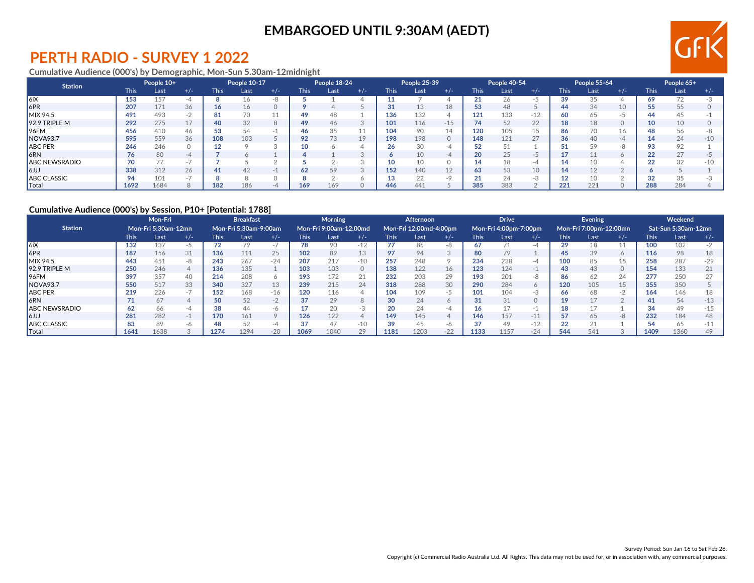## **EMBARGOED UNTIL 9:30AM (AEDT)**



### **PERTH RADIO - SURVEY 1 2022**

#### **Cumulative Audience (000's) by Demographic, Mon-Sun 5.30am-12midnight**

| <b>Station</b>       | People 10+  |      | People 10-17             |      | People 18-24 |       |      |      | People 25-39 |             | People 40-54 |                          |             | People 55-64 |                 |             | People 65+ |       |             |      |       |
|----------------------|-------------|------|--------------------------|------|--------------|-------|------|------|--------------|-------------|--------------|--------------------------|-------------|--------------|-----------------|-------------|------------|-------|-------------|------|-------|
|                      | <b>This</b> | Last | $+/-$                    | This | Last         | $+/-$ | This | Last | $+/-$        | <b>This</b> | Last         | $+/-$                    | <b>This</b> | Last         | $+/-$           | <b>This</b> | Last       | $+/-$ | <b>This</b> | Last | $+/-$ |
| $\vert$ 6iX          | 153         | 157  |                          |      |              |       |      |      |              |             |              |                          |             |              |                 | 39          |            |       | 69          | 72   |       |
| 6PR                  | 207         | 171  | 36                       | 16   | 16           |       |      |      |              | n,          | 13           | 18                       | 53          | 48           |                 | 44          | 34         | 10    |             | 55   |       |
| <b>MIX 94.5</b>      | 491         | 493  |                          | 81   |              |       | 49   |      |              | 136         | 132          |                          | 121         | 133          | $-12$           | 60          | 65         |       |             | 45   |       |
| $92.9$ TRIPLE M      | 292         | 275  | 4 <sub>7</sub>           | 40   | 32           |       | 49   | 46   | $\Omega$     | 101         | 116          | $-15$                    | 74          | 52           | 22              | 18          | 18         |       | 10          | 10   |       |
| $ 96$ FM             | 456         | 410  | 46                       | 53   | 54           |       | 46.  | 35   | H            | 104         | 90           | 14                       | 120         | 105          |                 | 86          |            | 16    |             | 56   |       |
| NOVA93.7             | 595         | 559  | 36                       | 108  | 103          |       | 92   |      | 19           | 198         | 198          | $\Omega$                 | 148         | 121          | 27              | 36          | 40         | $-4$  |             | 24   | $-10$ |
| <b>ABC PER</b>       | 246         | 246  |                          |      |              |       |      |      |              | 26          | 30           | $-L$                     | 52          | 51           |                 |             | 59         | -8    |             | 92   |       |
| 6RN                  | 76          | 80   | -4                       |      |              |       |      |      |              |             | 10           | -4                       | 20          | 25           | $ \overline{ }$ |             |            |       | າາ          | 27   |       |
| <b>ABC NEWSRADIO</b> | 70          | 77   | $\overline{\phantom{a}}$ |      |              |       |      |      |              | 10          | 10           |                          | 14          |              | $-4$            |             |            |       | ົ           | 32   | $-10$ |
| $ 6$ الرا            | 338         | 312  | 26                       | 41   | 42           | $-$   | 62   | 59   | $\sim$       | 152         | 140          | 12                       | 63          | 53           | 10              |             |            |       |             |      |       |
| <b>ABC CLASSIC</b>   |             | 101  |                          |      |              |       |      |      |              | 13          | 22           | $\overline{\phantom{a}}$ | 21          | 24           | - 3             |             |            |       |             | 35   |       |
| Total                | 1692        | 1684 |                          | 182  | 186          | $-4$  | 169  | 169  |              | 446         | 441          |                          | 385         | 383          |                 | 221         | 221        |       | 288         | 284  |       |

#### **Cumulative Audience (000's) by Session, P10+ [Potential: 1788]**

|                      | Mon-Fri |                            |       | <b>Breakfast</b> |                       |              | <b>Morning</b> |                        |          | Afternoon |                        |                | <b>Drive</b> |                       |       | Evening     |                        |         | Weekend |                     |       |
|----------------------|---------|----------------------------|-------|------------------|-----------------------|--------------|----------------|------------------------|----------|-----------|------------------------|----------------|--------------|-----------------------|-------|-------------|------------------------|---------|---------|---------------------|-------|
| <b>Station</b>       |         | <b>Mon-Fri 5:30am-12mn</b> |       |                  | Mon-Fri 5:30am-9:00am |              |                | Mon-Fri 9:00am-12:00md |          |           | Mon-Fri 12:00md-4:00pm |                |              | Mon-Fri 4:00pm-7:00pm |       |             | Mon-Fri 7:00pm-12:00mn |         |         | Sat-Sun 5:30am-12mn |       |
|                      | This.   | Last                       | $+/-$ | <b>This</b>      | Last                  | $+/-$        | This           | Last                   | $+/-$    | This l    | Last                   | $+/-$          | <b>This</b>  | Last                  | $+/-$ | <b>This</b> | Last                   | $+/-$   | This.   | Last                | $+/-$ |
| l6iX                 | 132     | 137                        | $-5$  |                  |                       | $\sim$ .     | 78             | 90                     | $-12$    |           | 85                     |                | 67           | $\neg$ <sub>A</sub>   | -4    | 29          | 18                     |         | 100     | 102                 |       |
| 6PR                  | 187     | 156                        | 31    | 136              | 111                   | 25           | 102            | 89                     | 13       | 97        | 94                     | -3             | 80           | 79                    |       | 45          | 39                     | $\circ$ | 116     | 98                  |       |
| <b>MIX 94.5</b>      | 443     | 451                        | -8    | 243              | 267                   | $-24$        | 207            | 217                    | $-10$    | 257       | 248                    | $\circ$        | 234          | 238                   | -4    | 100         | 85                     | 15      | 258     | 287                 | $-29$ |
| 92.9 TRIPLE M        | 250     | 246                        |       | 136              | 135                   |              | 103            | 103                    | 0        | 138       | 122                    | 16             | 123          | 124                   | $-1$  | 43          | 43                     | 0       | 154     | 133                 | 21    |
| 96FM                 | 397     | 357                        | 40    | 214              | 208                   | <sup>6</sup> | 193            | 172                    | 21       | 232       | 203                    | 29             | 193          | 201                   | -8    | 86          | 62                     | 24      | 277     | 250                 |       |
| NOVA <sub>93.7</sub> | 550     | 517                        | 33    | 340              | 327                   | 13           | 239            | 215                    | 24       | 318       | 288                    | 30             | 290          | 284                   |       | 120         | 105                    | 15      | 355     | 350                 |       |
| <b>ABC PER</b>       | 219     | 226                        | $-1$  | 152              | 168                   | $-16$        | 120            | 116                    |          | 104       | 109                    | $-$            | 101          | 104                   | -3    | 66          | 68                     | $-2$    | 164     | 146                 |       |
| <b>6RN</b>           |         | 67                         |       | 50               | 52                    | $-$          | 37             | 29                     |          | 30        | 24                     | $\circ$        | 31           | 31                    |       | 19          |                        |         |         | 54                  |       |
| <b>ABC NEWSRADIO</b> | 62      | 66                         | -4    | 38               | 44                    | -6           |                | 20                     | $-3$     |           | 24                     | -4             | 16           |                       | - 1   | 18          |                        |         | RΣ      | 49                  |       |
| $\mathsf{I}$ 6JJJ    | 281     | 282                        | $-1$  | 170              | 161                   | $\circ$      | 126            | 122                    | $\Delta$ | 149       | 145                    | $\overline{4}$ | 146          | 157                   | $-11$ | 57          | 65                     | -8      | 232     | 184                 |       |
| <b>ABC CLASSIC</b>   | 83      | 89                         | -6    | 48               | 52                    | -4           | 37             | 47                     | $-10$    | 39        | 45                     | -6             | 37           | 49                    | $-12$ | 22          | 21                     |         |         | 65                  |       |
| Total                | 1641    | 1638                       |       | 1274             | 1294                  | $-20$        | 1069           | 1040                   | 29       | 1181      | 1203                   | $-22$          | 1133         | 1157                  | $-24$ | 544         | 541                    |         | 1409    | 1360                |       |